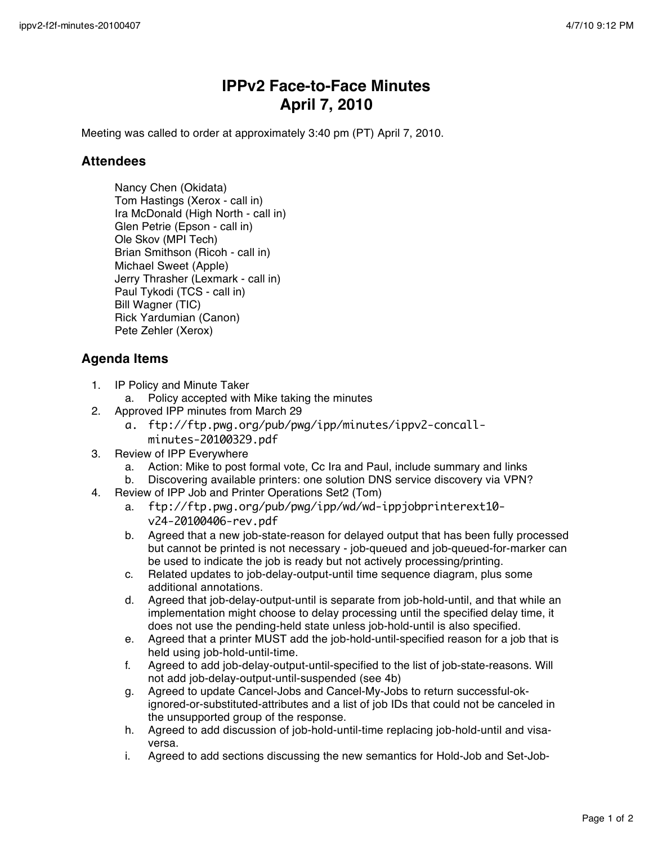## **IPPv2 Face-to-Face Minutes April 7, 2010**

Meeting was called to order at approximately 3:40 pm (PT) April 7, 2010.

## **Attendees**

Nancy Chen (Okidata) Tom Hastings (Xerox - call in) Ira McDonald (High North - call in) Glen Petrie (Epson - call in) Ole Skov (MPI Tech) Brian Smithson (Ricoh - call in) Michael Sweet (Apple) Jerry Thrasher (Lexmark - call in) Paul Tykodi (TCS - call in) Bill Wagner (TIC) Rick Yardumian (Canon) Pete Zehler (Xerox)

## **Agenda Items**

- 1. IP Policy and Minute Taker
	- a. Policy accepted with Mike taking the minutes
- 2. Approved IPP minutes from March 29
	- a. ftp://ftp.pwg.org/pub/pwg/ipp/minutes/ippv2-concallminutes-20100329.pdf
- 3. Review of IPP Everywhere
	- a. Action: Mike to post formal vote, Cc Ira and Paul, include summary and links
	- b. Discovering available printers: one solution DNS service discovery via VPN?
- 4. Review of IPP Job and Printer Operations Set2 (Tom)
	- a. ftp://ftp.pwg.org/pub/pwg/ipp/wd/wd-ippjobprinterext10 v24-20100406-rev.pdf
	- b. Agreed that a new job-state-reason for delayed output that has been fully processed but cannot be printed is not necessary - job-queued and job-queued-for-marker can be used to indicate the job is ready but not actively processing/printing.
	- c. Related updates to job-delay-output-until time sequence diagram, plus some additional annotations.
	- d. Agreed that job-delay-output-until is separate from job-hold-until, and that while an implementation might choose to delay processing until the specified delay time, it does not use the pending-held state unless job-hold-until is also specified.
	- e. Agreed that a printer MUST add the job-hold-until-specified reason for a job that is held using job-hold-until-time.
	- f. Agreed to add job-delay-output-until-specified to the list of job-state-reasons. Will not add job-delay-output-until-suspended (see 4b)
	- g. Agreed to update Cancel-Jobs and Cancel-My-Jobs to return successful-okignored-or-substituted-attributes and a list of job IDs that could not be canceled in the unsupported group of the response.
	- h. Agreed to add discussion of job-hold-until-time replacing job-hold-until and visaversa.
	- i. Agreed to add sections discussing the new semantics for Hold-Job and Set-Job-